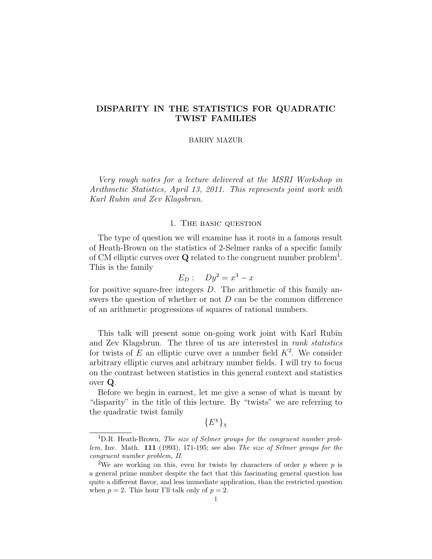### BARRY MAZUR

Very rough notes for a lecture delivered at the MSRI Workshop in Arithmetic Statistics, April 13, 2011. This represents joint work with Karl Rubin and Zev Klagsbrun.

# 1. The basic question

The type of question we will examine has it roots in a famous result of Heath-Brown on the statistics of 2-Selmer ranks of a specific family of CM elliptic curves over **Q** related to the congruent number problem<sup>1</sup>. This is the family

$$
E_D: \quad Dy^2 = x^3 - x
$$

for positive square-free integers D. The arithmetic of this family answers the question of whether or not  $D$  can be the common difference of an arithmetic progressions of squares of rational numbers.

This talk will present some on-going work joint with Karl Rubin and Zev Klagsbrun. The three of us are interested in rank statistics for twists of E an elliptic curve over a number field  $K^2$ . We consider arbitrary elliptic curves and arbitrary number fields. I will try to focus on the contrast between statistics in this general context and statistics over Q.

Before we begin in earnest, let me give a sense of what is meant by "disparity" in the title of this lecture. By "twists" we are referring to the quadratic twist family

 ${E^{\chi}}_{\chi}$ 

 $1D.R.$  Heath-Brown, The size of Selmer groups for the congruent number problem, Inv. Math. 111 (1993), 171-195; see also The size of Selmer groups for the congruent number problem, II.

<sup>&</sup>lt;sup>2</sup>We are working on this, even for twists by characters of order  $p$  where  $p$  is a general prime number despite the fact that this fascinating general question has quite a different flavor, and less immediate application, than the restricted question when  $p = 2$ . This hour I'll talk only of  $p = 2$ .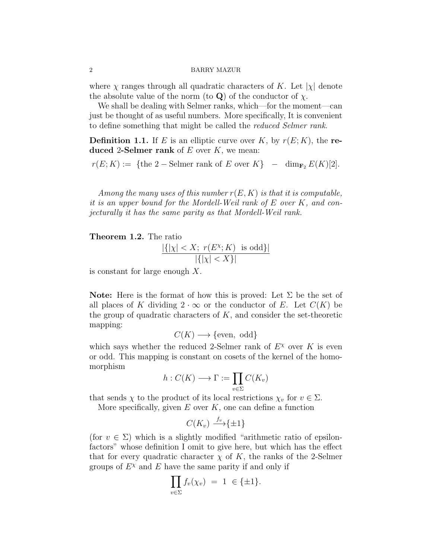where  $\chi$  ranges through all quadratic characters of K. Let  $|\chi|$  denote the absolute value of the norm (to Q) of the conductor of  $\chi$ .

We shall be dealing with Selmer ranks, which—for the moment—can just be thought of as useful numbers. More specifically, It is convenient to define something that might be called the reduced Selmer rank.

**Definition 1.1.** If E is an elliptic curve over K, by  $r(E; K)$ , the reduced 2-Selmer rank of  $E$  over  $K$ , we mean:

 $r(E; K) := \{$  the 2 – Selmer rank of E over  $K\}$  – dim<sub>F2</sub>  $E(K)[2]$ .

Among the many uses of this number  $r(E, K)$  is that it is computable, it is an upper bound for the Mordell-Weil rank of E over K, and conjecturally it has the same parity as that Mordell-Weil rank.

Theorem 1.2. The ratio

$$
\frac{|\{| \chi | < X; \ r(E^{\chi}; K) \ \text{ is odd}\}|}{|\{| \chi | < X\}|}
$$

is constant for large enough X.

**Note:** Here is the format of how this is proved: Let  $\Sigma$  be the set of all places of K dividing  $2 \cdot \infty$  or the conductor of E. Let  $C(K)$  be the group of quadratic characters of  $K$ , and consider the set-theoretic mapping:

$$
C(K) \longrightarrow \{\text{even}, \text{odd}\}\
$$

which says whether the reduced 2-Selmer rank of  $E^{\chi}$  over K is even or odd. This mapping is constant on cosets of the kernel of the homomorphism

$$
h:C(K)\longrightarrow \Gamma:=\prod_{v\in\Sigma}C(K_v)
$$

that sends  $\chi$  to the product of its local restrictions  $\chi_v$  for  $v \in \Sigma$ .

More specifically, given  $E$  over  $K$ , one can define a function

$$
C(K_v) \xrightarrow{f_v} \{\pm 1\}
$$

(for  $v \in \Sigma$ ) which is a slightly modified "arithmetic ratio of epsilonfactors" whose definition I omit to give here, but which has the effect that for every quadratic character  $\chi$  of K, the ranks of the 2-Selmer groups of  $E^{\chi}$  and E have the same parity if and only if

$$
\prod_{v \in \Sigma} f_v(\chi_v) = 1 \in \{\pm 1\}.
$$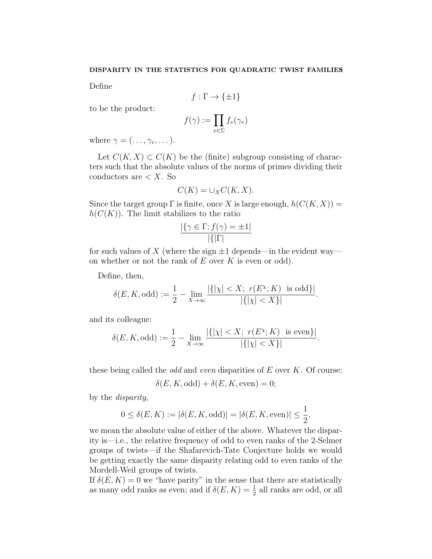Define

$$
f : \Gamma \to \{\pm 1\}
$$

to be the product:

$$
f(\gamma) := \prod_{v \in \Sigma} f_v(\gamma_v)
$$

where  $\gamma = (\ldots, \gamma_v, \ldots).$ 

Let  $C(K, X) \subset C(K)$  be the (finite) subgroup consisting of characters such that the absolute values of the norms of primes dividing their conductors are  $\lt X$ . So

$$
C(K) = \cup_X C(K, X).
$$

Since the target group  $\Gamma$  is finite, once X is large enough,  $h(C(K, X)) =$  $h(C(K))$ . The limit stabilizes to the ratio

$$
\frac{|\{\gamma \in \Gamma; f(\gamma) = \pm 1|}{|\{| \Gamma |}}
$$

for such values of X (where the sign  $\pm 1$  depends—in the evident way on whether or not the rank of  $E$  over  $K$  is even or odd).

Define, then,

$$
\delta(E, K, \text{odd}) := \frac{1}{2} - \lim_{X \to \infty} \frac{|\{| \chi | < X; \ r(E^{\chi}; K) \text{ is odd}\}|}{|\{| \chi | < X\}|}.
$$

and its colleague:

$$
\delta(E, K, \text{odd}) := \frac{1}{2} - \lim_{X \to \infty} \frac{|\{| \chi | < X; \ r(E^{\chi}; K) \text{ is even}\}|}{|\{| \chi | < X\}|}.
$$

these being called the *odd* and *even* disparities of  $E$  over  $K$ . Of course:

$$
\delta(E, K, \text{odd}) + \delta(E, K, \text{even}) = 0;
$$

by the disparity,

$$
0 \le \delta(E, K) := |\delta(E, K, \text{odd})| = |\delta(E, K, \text{even})| \le \frac{1}{2},
$$

we mean the absolute value of either of the above. Whatever the disparity is—i.e., the relative frequency of odd to even ranks of the 2-Selmer groups of twists—if the Shafarevich-Tate Conjecture holds we would be getting exactly the same disparity relating odd to even ranks of the Mordell-Weil groups of twists.

If  $\delta(E, K) = 0$  we "have parity" in the sense that there are statistically as many odd ranks as even; and if  $\delta(E, K) = \frac{1}{2}$  all ranks are odd, or all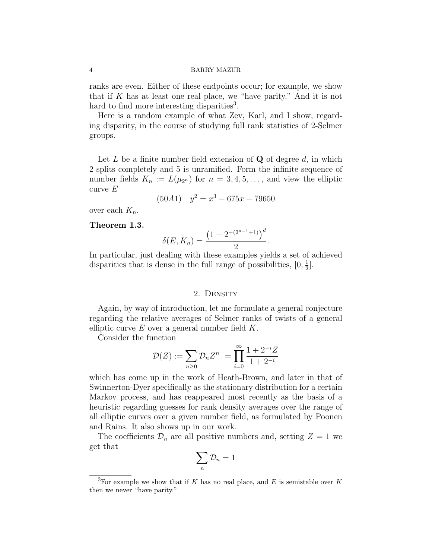ranks are even. Either of these endpoints occur; for example, we show that if K has at least one real place, we "have parity." And it is not hard to find more interesting disparities<sup>3</sup>.

Here is a random example of what Zev, Karl, and I show, regarding disparity, in the course of studying full rank statistics of 2-Selmer groups.

Let  $L$  be a finite number field extension of  $Q$  of degree  $d$ , in which 2 splits completely and 5 is unramified. Form the infinite sequence of number fields  $K_n := L(\mu_{2^n})$  for  $n = 3, 4, 5, \ldots$ , and view the elliptic curve  $E$ 

$$
(50A1) \quad y^2 = x^3 - 675x - 79650
$$

over each  $K_n$ .

# Theorem 1.3.

$$
\delta(E, K_n) = \frac{\left(1 - 2^{-(2^{n-1}+1)}\right)^d}{2}.
$$

In particular, just dealing with these examples yields a set of achieved disparities that is dense in the full range of possibilities,  $[0, \frac{1}{2}]$  $\frac{1}{2}$ .

### 2. Density

Again, by way of introduction, let me formulate a general conjecture regarding the relative averages of Selmer ranks of twists of a general elliptic curve  $E$  over a general number field  $K$ .

Consider the function

$$
\mathcal{D}(Z) := \sum_{n\geq 0} \mathcal{D}_n Z^n = \prod_{i=0}^{\infty} \frac{1 + 2^{-i}Z}{1 + 2^{-i}}
$$

which has come up in the work of Heath-Brown, and later in that of Swinnerton-Dyer specifically as the stationary distribution for a certain Markov process, and has reappeared most recently as the basis of a heuristic regarding guesses for rank density averages over the range of all elliptic curves over a given number field, as formulated by Poonen and Rains. It also shows up in our work.

The coefficients  $\mathcal{D}_n$  are all positive numbers and, setting  $Z = 1$  we get that

$$
\sum_n \mathcal{D}_n = 1
$$

<sup>&</sup>lt;sup>3</sup>For example we show that if K has no real place, and E is semistable over K then we never "have parity."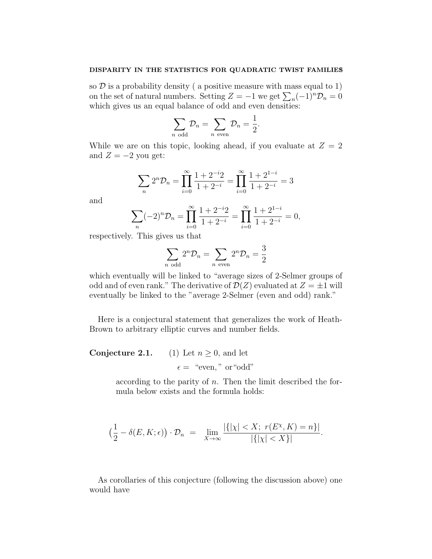so  $D$  is a probability density ( a positive measure with mass equal to 1) on the set of natural numbers. Setting  $Z = -1$  we get  $\sum_{n} (-1)^{n} \mathcal{D}_{n} = 0$ which gives us an equal balance of odd and even densities:

$$
\sum_{n \text{ odd}} \mathcal{D}_n = \sum_{n \text{ even}} \mathcal{D}_n = \frac{1}{2}.
$$

While we are on this topic, looking ahead, if you evaluate at  $Z = 2$ and  $Z = -2$  you get:

$$
\sum_{n} 2^{n} \mathcal{D}_{n} = \prod_{i=0}^{\infty} \frac{1 + 2^{-i} 2}{1 + 2^{-i}} = \prod_{i=0}^{\infty} \frac{1 + 2^{1-i}}{1 + 2^{-i}} = 3
$$

and

$$
\sum_{n} (-2)^{n} \mathcal{D}_{n} = \prod_{i=0}^{\infty} \frac{1+2^{-i}2}{1+2^{-i}} = \prod_{i=0}^{\infty} \frac{1+2^{1-i}}{1+2^{-i}} = 0,
$$

respectively. This gives us that

$$
\sum_{n \text{ odd}} 2^n \mathcal{D}_n = \sum_{n \text{ even}} 2^n \mathcal{D}_n = \frac{3}{2}
$$

which eventually will be linked to "average sizes of 2-Selmer groups of odd and of even rank." The derivative of  $\mathcal{D}(Z)$  evaluated at  $Z = \pm 1$  will eventually be linked to the "average 2-Selmer (even and odd) rank."

Here is a conjectural statement that generalizes the work of Heath-Brown to arbitrary elliptic curves and number fields.

# **Conjecture 2.1.** (1) Let  $n \geq 0$ , and let  $\epsilon =$  "even," or "odd"

according to the parity of  $n$ . Then the limit described the formula below exists and the formula holds:

$$
\left(\frac{1}{2}-\delta(E,K;\epsilon)\right)\cdot\mathcal{D}_n = \lim_{X\to\infty}\frac{|\{| \chi | \langle X ; \ r(E^X,K)=n \}|}{|\{| \chi | \langle X \rangle |}.
$$

As corollaries of this conjecture (following the discussion above) one would have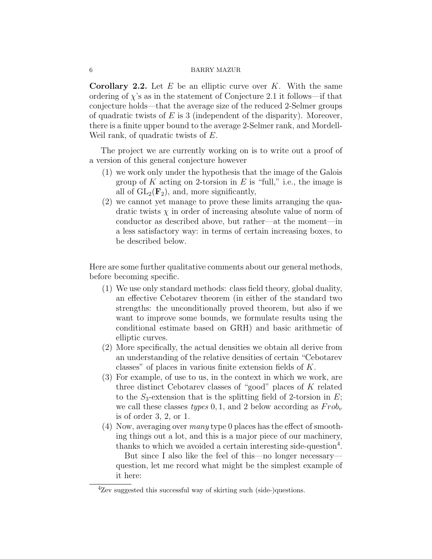**Corollary 2.2.** Let  $E$  be an elliptic curve over  $K$ . With the same ordering of  $\chi$ 's as in the statement of Conjecture 2.1 it follows—if that conjecture holds—that the average size of the reduced 2-Selmer groups of quadratic twists of  $E$  is 3 (independent of the disparity). Moreover, there is a finite upper bound to the average 2-Selmer rank, and Mordell-Weil rank, of quadratic twists of E.

The project we are currently working on is to write out a proof of a version of this general conjecture however

- (1) we work only under the hypothesis that the image of the Galois group of K acting on 2-torsion in E is "full," i.e., the image is all of  $GL_2(\mathbf{F}_2)$ , and, more significantly,
- (2) we cannot yet manage to prove these limits arranging the quadratic twists  $\chi$  in order of increasing absolute value of norm of conductor as described above, but rather—at the moment—in a less satisfactory way: in terms of certain increasing boxes, to be described below.

Here are some further qualitative comments about our general methods, before becoming specific.

- (1) We use only standard methods: class field theory, global duality, an effective Cebotarev theorem (in either of the standard two strengths: the unconditionally proved theorem, but also if we want to improve some bounds, we formulate results using the conditional estimate based on GRH) and basic arithmetic of elliptic curves.
- (2) More specifically, the actual densities we obtain all derive from an understanding of the relative densities of certain "Cebotarev classes" of places in various finite extension fields of K.
- (3) For example, of use to us, in the context in which we work, are three distinct Cebotarev classes of "good" places of K related to the  $S_3$ -extension that is the splitting field of 2-torsion in E; we call these classes types 0, 1, and 2 below according as  $Frob_v$ is of order 3, 2, or 1.
- (4) Now, averaging over many type 0 places has the effect of smoothing things out a lot, and this is a major piece of our machinery, thanks to which we avoided a certain interesting side-question<sup>4</sup>.

But since I also like the feel of this—no longer necessary question, let me record what might be the simplest example of it here:

 ${}^{4}$ Zev suggested this successful way of skirting such (side-)questions.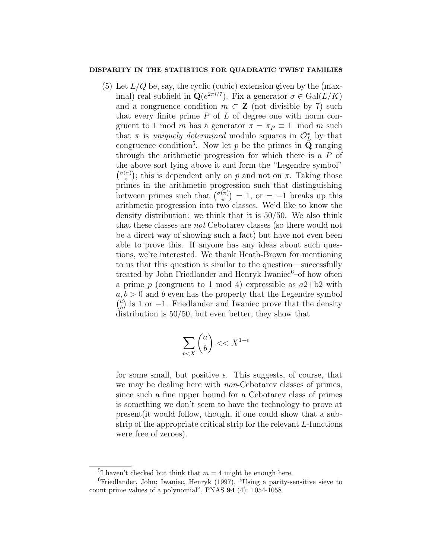(5) Let  $L/Q$  be, say, the cyclic (cubic) extension given by the (maximal) real subfield in  $\mathbf{Q}(e^{2\pi i/7})$ . Fix a generator  $\sigma \in \text{Gal}(L/K)$ and a congruence condition  $m \subset \mathbf{Z}$  (not divisible by 7) such that every finite prime  $P$  of  $L$  of degree one with norm congruent to 1 mod m has a generator  $\pi = \pi_P \equiv 1 \mod m$  such that  $\pi$  is *uniquely determined* modulo squares in  $\mathcal{O}_L^*$  by that congruence condition<sup>5</sup>. Now let p be the primes in  $Q$  ranging through the arithmetic progression for which there is a P of the above sort lying above it and form the "Legendre symbol"  $\binom{\sigma(\pi)}{\pi}$  $(\pi)(\pi)$ ; this is dependent only on p and not on  $\pi$ . Taking those primes in the arithmetic progression such that distinguishing between primes such that  $\binom{\sigma(\pi)}{\pi}$  $\binom{\pi}{\pi}$  = 1, or = -1 breaks up this arithmetic progression into two classes. We'd like to know the density distribution: we think that it is 50/50. We also think that these classes are not Cebotarev classes (so there would not be a direct way of showing such a fact) but have not even been able to prove this. If anyone has any ideas about such questions, we're interested. We thank Heath-Brown for mentioning to us that this question is similar to the question—successfully treated by John Friedlander and Henryk Iwaniec<sup>6</sup>-of how often a prime p (congruent to 1 mod 4) expressible as  $a2+b2$  with  $a, b > 0$  and b even has the property that the Legendre symbol  $\int_{a}^{a}$  $\binom{a}{b}$  is 1 or -1. Friedlander and Iwaniec prove that the density distribution is 50/50, but even better, they show that

$$
\sum_{p
$$

for some small, but positive  $\epsilon$ . This suggests, of course, that we may be dealing here with *non*-Cebotarev classes of primes, since such a fine upper bound for a Cebotarev class of primes is something we don't seem to have the technology to prove at present(it would follow, though, if one could show that a substrip of the appropriate critical strip for the relevant L-functions were free of zeroes).

<sup>&</sup>lt;sup>5</sup>I haven't checked but think that  $m = 4$  might be enough here.

 ${}^{6}$ Friedlander, John; Iwaniec, Henryk (1997), "Using a parity-sensitive sieve to count prime values of a polynomial", PNAS 94 (4): 1054-1058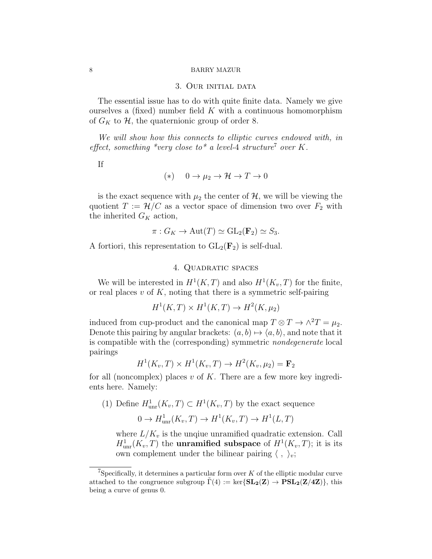## 3. Our initial data

The essential issue has to do with quite finite data. Namely we give ourselves a (fixed) number field  $K$  with a continuous homomorphism of  $G_K$  to  $H$ , the quaternionic group of order 8.

We will show how this connects to elliptic curves endowed with, in effect, something \*very close to\* a level-4 structure<sup>7</sup> over K.

If

$$
(*) \quad 0 \to \mu_2 \to \mathcal{H} \to T \to 0
$$

is the exact sequence with  $\mu_2$  the center of  $\mathcal{H}$ , we will be viewing the quotient  $T := \mathcal{H}/C$  as a vector space of dimension two over  $F_2$  with the inherited  $G_K$  action,

$$
\pi: G_K \to \mathrm{Aut}(T) \simeq \mathrm{GL}_2(\mathbf{F}_2) \simeq S_3.
$$

A fortiori, this representation to  $GL_2(\mathbf{F}_2)$  is self-dual.

4. Quadratic spaces

We will be interested in  $H^1(K,T)$  and also  $H^1(K_v,T)$  for the finite, or real places  $v$  of  $K$ , noting that there is a symmetric self-pairing

$$
H^1(K, T) \times H^1(K, T) \to H^2(K, \mu_2)
$$

induced from cup-product and the canonical map  $T \otimes T \to \wedge^2 T = \mu_2$ . Denote this pairing by angular brackets:  $(a, b) \mapsto \langle a, b \rangle$ , and note that it is compatible with the (corresponding) symmetric nondegenerate local pairings

$$
H1(Kv, T) \times H1(Kv, T) \to H2(Kv, \mu2) = \mathbf{F}2
$$

for all (noncomplex) places v of K. There are a few more key ingredients here. Namely:

(1) Define  $H^1_{\text{unr}}(K_v, T) \subset H^1(K_v, T)$  by the exact sequence

$$
0 \to H^1_{\text{unr}}(K_v, T) \to H^1(K_v, T) \to H^1(L, T)
$$

where  $L/K_v$  is the unquie unramified quadratic extension. Call  $H^1_{\text{unr}}(K_v, T)$  the **unramified subspace** of  $H^1(K_v, T)$ ; it is its own complement under the bilinear pairing  $\langle , \rangle_i$ ;

<sup>&</sup>lt;sup>7</sup>Specifically, it determines a particular form over  $K$  of the elliptic modular curve attached to the congruence subgroup  $\Gamma(4) := \text{ker}\{\text{SL}_2(\mathbb{Z}) \to \text{PSL}_2(\mathbb{Z}/4\mathbb{Z})\}$ , this being a curve of genus 0.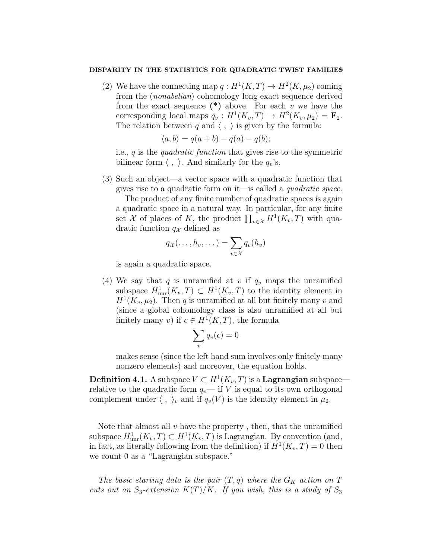(2) We have the connecting map  $q: H^1(K,T) \to H^2(K,\mu_2)$  coming from the (nonabelian) cohomology long exact sequence derived from the exact sequence  $(*)$  above. For each v we have the corresponding local maps  $q_v : H^1(K_v, T) \to H^2(K_v, \mu_2) = \mathbf{F}_2$ . The relation between q and  $\langle , \rangle$  is given by the formula:

$$
\langle a, b \rangle = q(a+b) - q(a) - q(b);
$$

i.e., q is the quadratic function that gives rise to the symmetric bilinear form  $\langle , \rangle$ . And similarly for the  $q_v$ 's.

(3) Such an object—a vector space with a quadratic function that gives rise to a quadratic form on it—is called a quadratic space.

The product of any finite number of quadratic spaces is again a quadratic space in a natural way. In particular, for any finite set X of places of K, the product  $\prod_{v \in \mathcal{X}} H^1(K_v, T)$  with quadratic function  $q_{\mathcal{X}}$  defined as

$$
q_{\mathcal{X}}(\ldots, h_{v}, \ldots) = \sum_{v \in \mathcal{X}} q_{v}(h_{v})
$$

is again a quadratic space.

(4) We say that q is unramified at v if  $q_v$  maps the unramified subspace  $H^1_{\text{unr}}(K_v, T) \subset H^1(K_v, T)$  to the identity element in  $H<sup>1</sup>(K_v, \mu_2)$ . Then q is unramified at all but finitely many v and (since a global cohomology class is also unramified at all but finitely many v) if  $c \in H^1(K,T)$ , the formula

$$
\sum_{v} q_v(c) = 0
$$

makes sense (since the left hand sum involves only finitely many nonzero elements) and moreover, the equation holds.

**Definition 4.1.** A subspace  $V \subset H^1(K_v, T)$  is a **Lagrangian** subspace relative to the quadratic form  $q_v$ — if V is equal to its own orthogonal complement under  $\langle , \rangle_v$  and if  $q_v(V)$  is the identity element in  $\mu_2$ .

Note that almost all  $v$  have the property, then, that the unramified subspace  $H^1_{\text{unr}}(K_v, T) \subset H^1(K_v, T)$  is Lagrangian. By convention (and, in fact, as literally following from the definition) if  $H^1(K_v, T) = 0$  then we count 0 as a "Lagrangian subspace."

The basic starting data is the pair  $(T, q)$  where the  $G_K$  action on T cuts out an  $S_3$ -extension  $K(T)/K$ . If you wish, this is a study of  $S_3$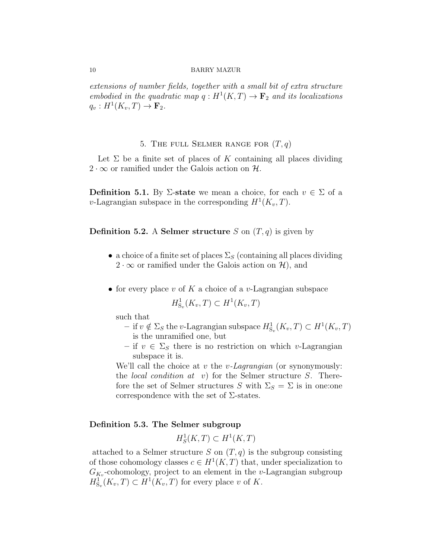extensions of number fields, together with a small bit of extra structure embodied in the quadratic map  $q: H^1(K,T) \to \mathbf{F}_2$  and its localizations  $q_v: H^1(K_v, T) \to \mathbf{F}_2.$ 

# 5. THE FULL SELMER RANGE FOR  $(T, q)$

Let  $\Sigma$  be a finite set of places of K containing all places dividing  $2 \cdot \infty$  or ramified under the Galois action on H.

**Definition 5.1.** By  $\Sigma$ -state we mean a choice, for each  $v \in \Sigma$  of a v-Lagrangian subspace in the corresponding  $H^1(K_v, T)$ .

**Definition 5.2.** A **Selmer structure** S on  $(T, q)$  is given by

- a choice of a finite set of places  $\Sigma<sub>S</sub>$  (containing all places dividing  $2 \cdot \infty$  or ramified under the Galois action on H, and
- for every place v of K a choice of a v-Lagrangian subspace

$$
H^1_{S_v}(K_v, T) \subset H^1(K_v, T)
$$

such that

- $-$  if  $v \notin \Sigma_S$  the v-Lagrangian subspace  $H^1_{S_v}(K_v,T) \subset H^1(K_v,T)$ is the unramified one, but
- if  $v \in \Sigma_S$  there is no restriction on which v-Lagrangian subspace it is.

We'll call the choice at  $v$  the  $v$ -Lagrangian (or synonymously: the *local condition at v*) for the Selmer structure S. Therefore the set of Selmer structures S with  $\Sigma_S = \Sigma$  is in one: one correspondence with the set of  $\Sigma$ -states.

## Definition 5.3. The Selmer subgroup

 $H_S^1(K,T) \subset H^1(K,T)$ 

attached to a Selmer structure S on  $(T, q)$  is the subgroup consisting of those cohomology classes  $c \in H^1(K,T)$  that, under specialization to  $G_{K_v}$ -cohomology, project to an element in the v-Lagrangian subgroup  $H^1_{S_v}(K_v,T) \subset H^1(K_v,T)$  for every place v of K.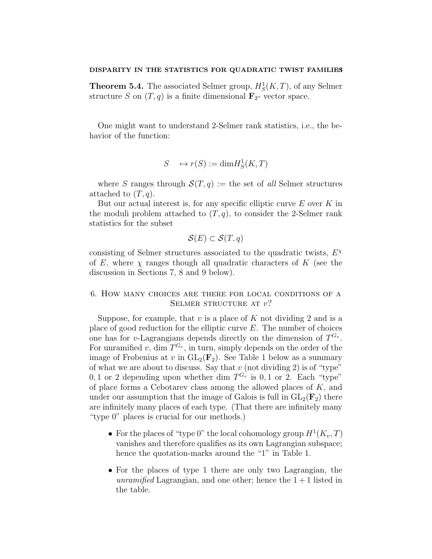**Theorem 5.4.** The associated Selmer group,  $H_S^1(K,T)$ , of any Selmer structure S on  $(T, q)$  is a finite dimensional  $\mathbf{F}_2$ - vector space.

One might want to understand 2-Selmer rank statistics, i.e., the behavior of the function:

$$
S \longrightarrow r(S) := \dim H_S^1(K, T)
$$

where S ranges through  $\mathcal{S}(T,q) :=$  the set of all Selmer structures attached to  $(T, q)$ .

But our actual interest is, for any specific elliptic curve  $E$  over  $K$  in the moduli problem attached to  $(T, q)$ , to consider the 2-Selmer rank statistics for the subset

$$
\mathcal{S}(E) \subset \mathcal{S}(T, q)
$$

consisting of Selmer structures associated to the quadratic twists,  $E^{\chi}$ of E, where  $\chi$  ranges though all quadratic characters of K (see the discussion in Sections 7, 8 and 9 below).

# 6. How many choices are there for local conditions of a SELMER STRUCTURE AT  $v$ ?

Suppose, for example, that  $v$  is a place of  $K$  not dividing 2 and is a place of good reduction for the elliptic curve  $E$ . The number of choices one has for v-Lagrangians depends directly on the dimension of  $T^{G_v}$ . For unramified v, dim  $T^{G_v}$ , in turn, simply depends on the order of the image of Frobenius at v in  $GL_2(\mathbf{F}_2)$ . See Table 1 below as a summary of what we are about to discuss. Say that  $v$  (not dividing 2) is of "type" 0, 1 or 2 depending upon whether dim  $T^{G_v}$  is 0, 1 or 2. Each "type" of place forms a Cebotarev class among the allowed places of K, and under our assumption that the image of Galois is full in  $GL_2(\mathbf{F}_2)$  there are infinitely many places of each type. (That there are infinitely many "type 0" places is crucial for our methods.)

- For the places of "type 0" the local cohomology group  $H^1(K_v, T)$ vanishes and therefore qualifies as its own Lagrangian subspace; hence the quotation-marks around the "1" in Table 1.
- For the places of type 1 there are only two Lagrangian, the unramified Lagrangian, and one other; hence the  $1+1$  listed in the table.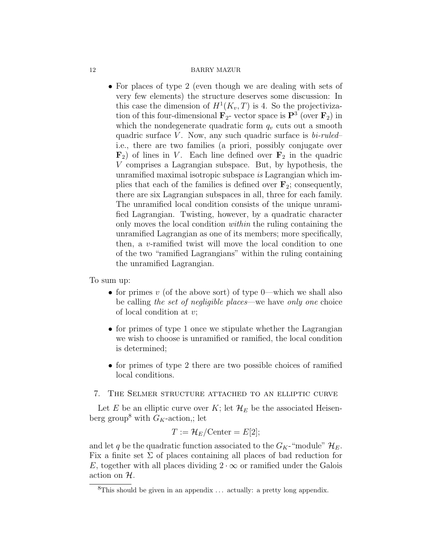• For places of type 2 (even though we are dealing with sets of very few elements) the structure deserves some discussion: In this case the dimension of  $H^1(K_v, T)$  is 4. So the projectivization of this four-dimensional  $\mathbf{F}_2$ - vector space is  $\mathbf{P}^3$  (over  $\mathbf{F}_2$ ) in which the nondegenerate quadratic form  $q_v$  cuts out a smooth quadric surface  $V$ . Now, any such quadric surface is  $bi$ -ruled– i.e., there are two families (a priori, possibly conjugate over  $\mathbf{F}_2$ ) of lines in V. Each line defined over  $\mathbf{F}_2$  in the quadric V comprises a Lagrangian subspace. But, by hypothesis, the unramified maximal isotropic subspace is Lagrangian which implies that each of the families is defined over  $\mathbf{F}_2$ ; consequently, there are six Lagrangian subspaces in all, three for each family. The unramified local condition consists of the unique unramified Lagrangian. Twisting, however, by a quadratic character only moves the local condition within the ruling containing the unramified Lagrangian as one of its members; more specifically, then, a v-ramified twist will move the local condition to one of the two "ramified Lagrangians" within the ruling containing the unramified Lagrangian.

To sum up:

- for primes v (of the above sort) of type 0—which we shall also be calling the set of negligible places—we have only one choice of local condition at v;
- for primes of type 1 once we stipulate whether the Lagrangian we wish to choose is unramified or ramified, the local condition is determined;
- for primes of type 2 there are two possible choices of ramified local conditions.

# 7. The Selmer structure attached to an elliptic curve

Let E be an elliptic curve over K; let  $\mathcal{H}_E$  be the associated Heisenberg group<sup>8</sup> with  $G_K$ -action,; let

$$
T := \mathcal{H}_E / \mathrm{Center} = E[2];
$$

and let q be the quadratic function associated to the  $G_K$ -"module"  $\mathcal{H}_E$ . Fix a finite set  $\Sigma$  of places containing all places of bad reduction for E, together with all places dividing  $2 \cdot \infty$  or ramified under the Galois action on H.

<sup>&</sup>lt;sup>8</sup>This should be given in an appendix  $\ldots$  actually: a pretty long appendix.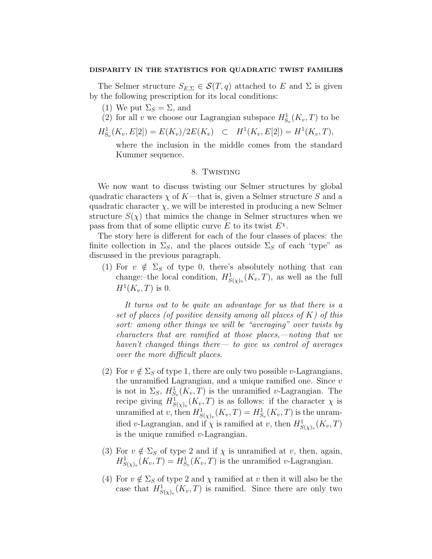The Selmer structure  $S_{E,\Sigma} \in \mathcal{S}(T,q)$  attached to E and  $\Sigma$  is given by the following prescription for its local conditions:

- (1) We put  $\Sigma_S = \Sigma$ , and
- (2) for all v we choose our Lagrangian subspace  $H^1_{S_v}(K_v,T)$  to be
- $H^1_{S_v}(K_v, E[2]) = E(K_v)/2E(K_v) \quad \subset \quad H^1(K_v, E[2]) = H^1(K_v, T),$

where the inclusion in the middle comes from the standard Kummer sequence.

# 8. Twisting

We now want to discuss twisting our Selmer structures by global quadratic characters  $\chi$  of K—that is, given a Selmer structure S and a quadratic character  $\chi$ , we will be interested in producing a new Selmer structure  $S(\chi)$  that mimics the change in Selmer structures when we pass from that of some elliptic curve  $E$  to its twist  $E^{\chi}$ .

The story here is different for each of the four classes of places: the finite collection in  $\Sigma_s$ , and the places outside  $\Sigma_s$  of each 'type" as discussed in the previous paragraph.

(1) For  $v \notin \Sigma_S$  of type 0, there's absolutely nothing that can change:-the local condition,  $H^1_{S(\chi)_v}(K_v, T)$ , as well as the full  $H^1(K_v,T)$  is 0.

It turns out to be quite an advantage for us that there is a set of places (of positive density among all places of  $K$ ) of this sort: among other things we will be "averaging" over twists by characters that are ramified at those places,—noting that we haven't changed things there — to give us control of averages over the more difficult places.

- (2) For  $v \notin \Sigma_S$  of type 1, there are only two possible v-Lagrangians, the unramified Lagrangian, and a unique ramified one. Since  $v$ is not in  $\Sigma_S$ ,  $H^1_{S_v}(K_v, T)$  is the unramified v-Lagrangian. The recipe giving  $H^1_{S(\chi)_v}(K_v,T)$  is as follows: if the character  $\chi$  is unramified at v, then  $H^1_{S(\chi)_v}(K_v, T) = H^1_{S_v}(K_v, T)$  is the unramified v-Lagrangian, and if  $\chi$  is ramified at v, then  $H^1_{S(\chi)_v}(K_v, T)$ is the unique ramified  $v$ -Lagrangian.
- (3) For  $v \notin \Sigma_S$  of type 2 and if  $\chi$  is unramified at v, then, again,  $H^1_{S(\chi)_v}(K_v, T) = H^1_{S_v}(K_v, T)$  is the unramified v-Lagrangian.
- (4) For  $v \notin \Sigma_S$  of type 2 and  $\chi$  ramified at v then it will also be the case that  $H^1_{S(\chi)_v}(K_v, T)$  is ramified. Since there are only two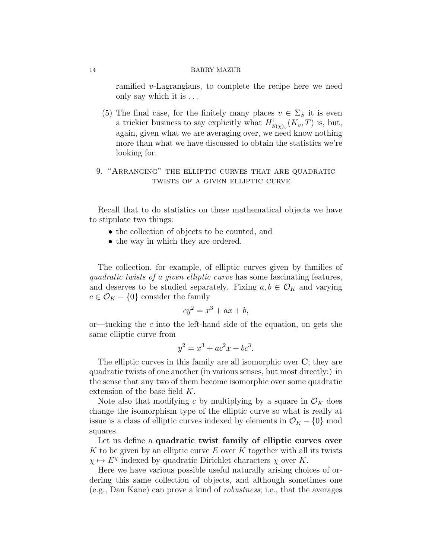ramified v-Lagrangians, to complete the recipe here we need only say which it is . . .

- (5) The final case, for the finitely many places  $v \in \Sigma_S$  it is even a trickier business to say explicitly what  $H^1_{S(\chi)_v}(K_v, T)$  is, but, again, given what we are averaging over, we need know nothing more than what we have discussed to obtain the statistics we're looking for.
- 9. "Arranging" the elliptic curves that are quadratic twists of a given elliptic curve

Recall that to do statistics on these mathematical objects we have to stipulate two things:

- the collection of objects to be counted, and
- the way in which they are ordered.

The collection, for example, of elliptic curves given by families of quadratic twists of a given elliptic curve has some fascinating features, and deserves to be studied separately. Fixing  $a, b \in \mathcal{O}_K$  and varying  $c \in \mathcal{O}_K - \{0\}$  consider the family

$$
cy^2 = x^3 + ax + b,
$$

or—tucking the  $c$  into the left-hand side of the equation, on gets the same elliptic curve from

$$
y^2 = x^3 + ac^2x + bc^3.
$$

The elliptic curves in this family are all isomorphic over  $C$ ; they are quadratic twists of one another (in various senses, but most directly:) in the sense that any two of them become isomorphic over some quadratic extension of the base field K.

Note also that modifying c by multiplying by a square in  $\mathcal{O}_K$  does change the isomorphism type of the elliptic curve so what is really at issue is a class of elliptic curves indexed by elements in  $\mathcal{O}_K - \{0\}$  mod squares.

Let us define a quadratic twist family of elliptic curves over K to be given by an elliptic curve E over K together with all its twists  $\chi \mapsto E^{\chi}$  indexed by quadratic Dirichlet characters  $\chi$  over K.

Here we have various possible useful naturally arising choices of ordering this same collection of objects, and although sometimes one (e.g., Dan Kane) can prove a kind of robustness; i.e., that the averages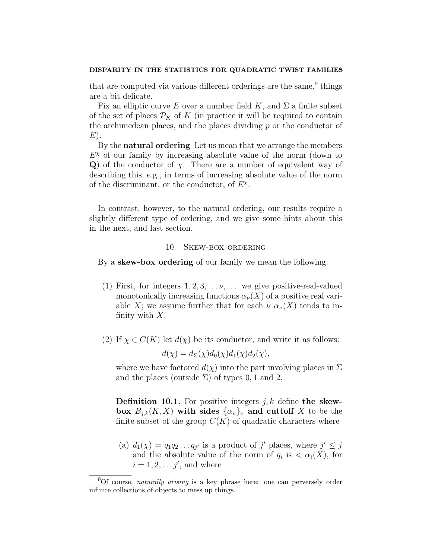that are computed via various different orderings are the same,<sup>9</sup> things are a bit delicate.

Fix an elliptic curve E over a number field K, and  $\Sigma$  a finite subset of the set of places  $\mathcal{P}_K$  of K (in practice it will be required to contain the archimedean places, and the places dividing  $p$  or the conductor of  $E$ ).

By the **natural ordering** Let us mean that we arrange the members  $E<sup>x</sup>$  of our family by increasing absolute value of the norm (down to Q) of the conductor of  $\chi$ . There are a number of equivalent way of describing this, e.g., in terms of increasing absolute value of the norm of the discriminant, or the conductor, of  $E^{\chi}$ .

In contrast, however, to the natural ordering, our results require a slightly different type of ordering, and we give some hints about this in the next, and last section.

### 10. Skew-box ordering

By a **skew-box ordering** of our family we mean the following.

- (1) First, for integers  $1, 2, 3, \ldots \nu, \ldots$  we give positive-real-valued monotonically increasing functions  $\alpha_{\nu}(X)$  of a positive real variable X; we assume further that for each  $\nu \alpha_{\nu}(X)$  tends to infinity with  $X$ .
- (2) If  $\chi \in C(K)$  let  $d(\chi)$  be its conductor, and write it as follows:

$$
d(\chi) = d_{\Sigma}(\chi) d_0(\chi) d_1(\chi) d_2(\chi),
$$

where we have factored  $d(\chi)$  into the part involving places in  $\Sigma$ and the places (outside  $\Sigma$ ) of types 0, 1 and 2.

**Definition 10.1.** For positive integers j, k define the skewbox  $B_{j,k}(K, X)$  with sides  $\{\alpha_{\nu}\}_{\nu}$  and cuttoff X to be the finite subset of the group  $C(K)$  of quadratic characters where

(a)  $d_1(\chi) = q_1 q_2 \dots q_{j'}$  is a product of j' places, where  $j' \leq j$ and the absolute value of the norm of  $q_i$  is  $\langle \alpha_i(X), \text{ for }$  $i = 1, 2, \ldots j'$ , and where

 $90f$  course, naturally arising is a key phrase here: one can perversely order infinite collections of objects to mess up things.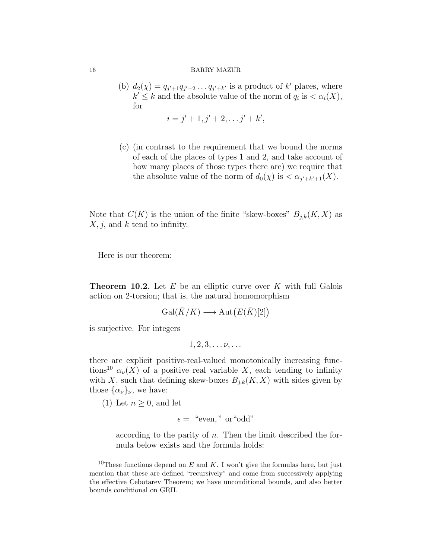(b)  $d_2(\chi) = q_{j'+1}q_{j'+2} \ldots q_{j'+k'}$  is a product of k' places, where  $k' \leq k$  and the absolute value of the norm of  $q_i$  is  $\langle \alpha_i(X), \alpha_i(X) \rangle$ for

$$
i = j' + 1, j' + 2, \ldots j' + k',
$$

(c) (in contrast to the requirement that we bound the norms of each of the places of types 1 and 2, and take account of how many places of those types there are) we require that the absolute value of the norm of  $d_0(\chi)$  is  $\langle \alpha_{j'+k'+1}(X) \rangle$ .

Note that  $C(K)$  is the union of the finite "skew-boxes"  $B_{j,k}(K, X)$  as  $X, j$ , and k tend to infinity.

Here is our theorem:

**Theorem 10.2.** Let  $E$  be an elliptic curve over  $K$  with full Galois action on 2-torsion; that is, the natural homomorphism

$$
\operatorname{Gal}(\bar{K}/K) \longrightarrow \operatorname{Aut}(E(\bar{K})[2])
$$

is surjective. For integers

$$
1, 2, 3, \ldots \nu, \ldots
$$

there are explicit positive-real-valued monotonically increasing functions<sup>10</sup>  $\alpha_{\nu}(X)$  of a positive real variable X, each tending to infinity with X, such that defining skew-boxes  $B_{j,k}(K, X)$  with sides given by those  $\{\alpha_{\nu}\}_{\nu}$ , we have:

(1) Let  $n \geq 0$ , and let

$$
\epsilon = \text{``even''} \text{ or ``odd''}
$$

according to the parity of  $n$ . Then the limit described the formula below exists and the formula holds:

<sup>&</sup>lt;sup>10</sup>These functions depend on E and K. I won't give the formulas here, but just mention that these are defined "recursively" and come from successively applying the effective Cebotarev Theorem; we have unconditional bounds, and also better bounds conditional on GRH.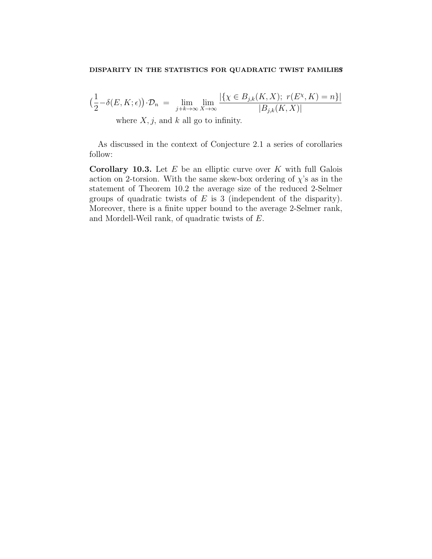$$
\left(\frac{1}{2} - \delta(E, K; \epsilon)\right) \cdot \mathcal{D}_n = \lim_{j+k \to \infty} \lim_{X \to \infty} \frac{|\{\chi \in B_{j,k}(K, X); r(E^{\chi}, K) = n\}|}{|B_{j,k}(K, X)|}
$$
  
where *X*, *j*, and *k* all go to infinity.

As discussed in the context of Conjecture 2.1 a series of corollaries follow:

**Corollary 10.3.** Let  $E$  be an elliptic curve over  $K$  with full Galois action on 2-torsion. With the same skew-box ordering of  $\chi$ 's as in the statement of Theorem 10.2 the average size of the reduced 2-Selmer groups of quadratic twists of  $E$  is 3 (independent of the disparity). Moreover, there is a finite upper bound to the average 2-Selmer rank, and Mordell-Weil rank, of quadratic twists of E.